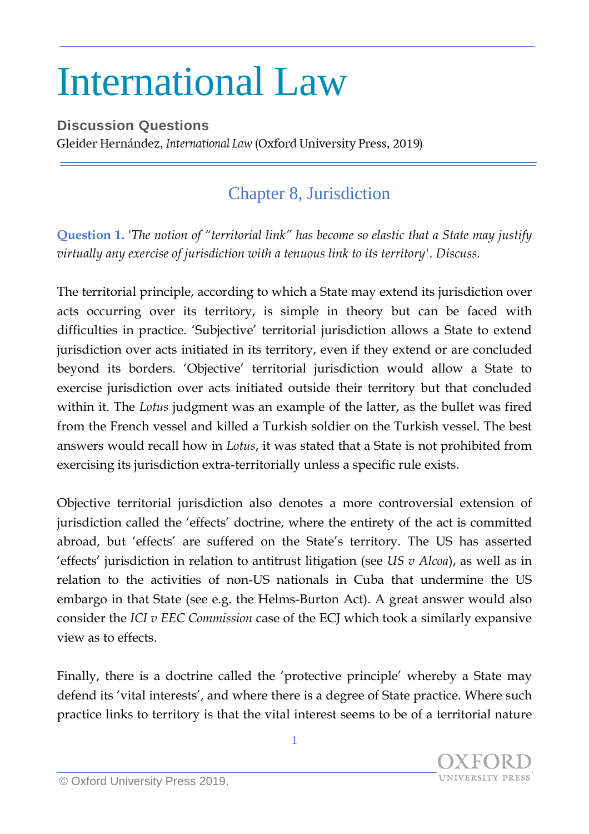## International Law

**Discussion Questions** Gleider Hernández, International Law (Oxford University Press, 2019)

## Chapter 8, Jurisdiction

**Question 1.** '*The notion of "territorial link" has become so elastic that a State may justify virtually any exercise of jurisdiction with a tenuous link to its territory'. Discuss.*

The territorial principle, according to which a State may extend its jurisdiction over acts occurring over its territory, is simple in theory but can be faced with difficulties in practice. 'Subjective' territorial jurisdiction allows a State to extend jurisdiction over acts initiated in its territory, even if they extend or are concluded beyond its borders. 'Objective' territorial jurisdiction would allow a State to exercise jurisdiction over acts initiated outside their territory but that concluded within it. The *Lotus* judgment was an example of the latter, as the bullet was fired from the French vessel and killed a Turkish soldier on the Turkish vessel. The best answers would recall how in *Lotus*, it was stated that a State is not prohibited from exercising its jurisdiction extra-territorially unless a specific rule exists.

Objective territorial jurisdiction also denotes a more controversial extension of jurisdiction called the 'effects' doctrine, where the entirety of the act is committed abroad, but 'effects' are suffered on the State's territory. The US has asserted 'effects' jurisdiction in relation to antitrust litigation (see *US v Alcoa*), as well as in relation to the activities of non-US nationals in Cuba that undermine the US embargo in that State (see e.g. the Helms-Burton Act). A great answer would also consider the *ICI v EEC Commission* case of the ECJ which took a similarly expansive view as to effects.

Finally, there is a doctrine called the 'protective principle' whereby a State may defend its 'vital interests', and where there is a degree of State practice. Where such practice links to territory is that the vital interest seems to be of a territorial nature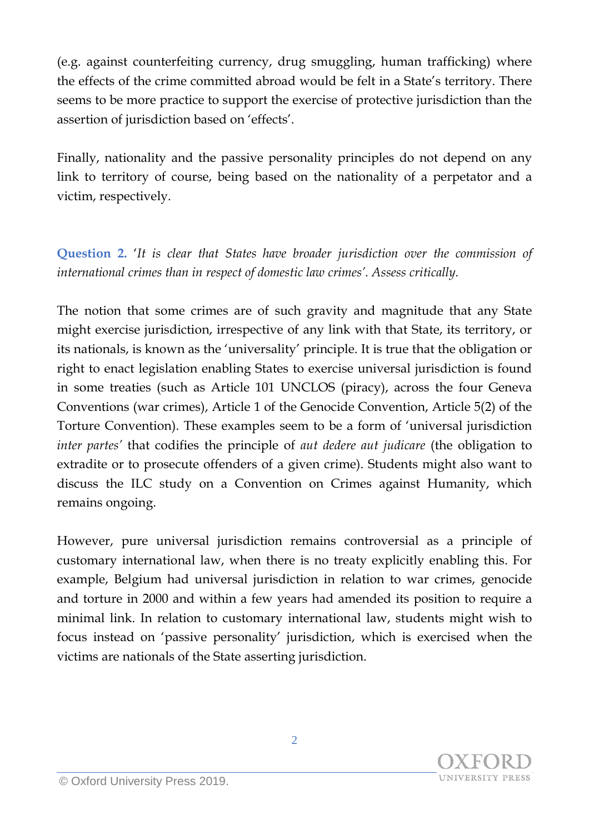(e.g. against counterfeiting currency, drug smuggling, human trafficking) where the effects of the crime committed abroad would be felt in a State's territory. There seems to be more practice to support the exercise of protective jurisdiction than the assertion of jurisdiction based on 'effects'.

Finally, nationality and the passive personality principles do not depend on any link to territory of course, being based on the nationality of a perpetator and a victim, respectively.

**Question 2.** '*It is clear that States have broader jurisdiction over the commission of international crimes than in respect of domestic law crimes'. Assess critically.*

The notion that some crimes are of such gravity and magnitude that any State might exercise jurisdiction, irrespective of any link with that State, its territory, or its nationals, is known as the 'universality' principle. It is true that the obligation or right to enact legislation enabling States to exercise universal jurisdiction is found in some treaties (such as Article 101 UNCLOS (piracy), across the four Geneva Conventions (war crimes), Article 1 of the Genocide Convention, Article 5(2) of the Torture Convention). These examples seem to be a form of 'universal jurisdiction *inter partes'* that codifies the principle of *aut dedere aut judicare* (the obligation to extradite or to prosecute offenders of a given crime). Students might also want to discuss the ILC study on a Convention on Crimes against Humanity, which remains ongoing.

However, pure universal jurisdiction remains controversial as a principle of customary international law, when there is no treaty explicitly enabling this. For example, Belgium had universal jurisdiction in relation to war crimes, genocide and torture in 2000 and within a few years had amended its position to require a minimal link. In relation to customary international law, students might wish to focus instead on 'passive personality' jurisdiction, which is exercised when the victims are nationals of the State asserting jurisdiction.